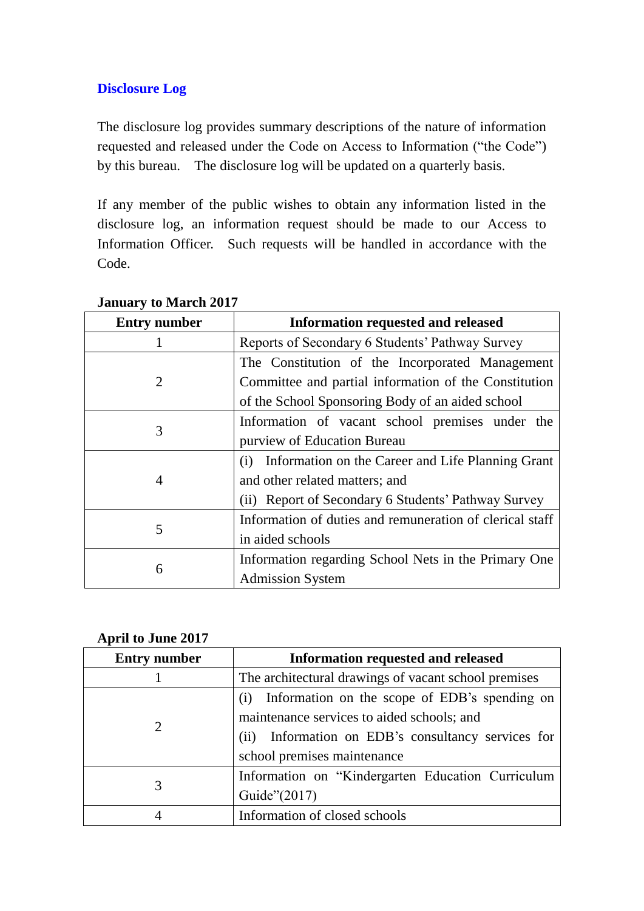### **Disclosure Log**

The disclosure log provides summary descriptions of the nature of information requested and released under the Code on Access to Information ("the Code") by this bureau. The disclosure log will be updated on a quarterly basis.

If any member of the public wishes to obtain any information listed in the disclosure log, an information request should be made to our Access to Information Officer. Such requests will be handled in accordance with the Code.

| <b>Entry number</b> | <b>Information requested and released</b>                |
|---------------------|----------------------------------------------------------|
|                     | Reports of Secondary 6 Students' Pathway Survey          |
|                     | The Constitution of the Incorporated Management          |
|                     | Committee and partial information of the Constitution    |
|                     | of the School Sponsoring Body of an aided school         |
| 3                   | Information of vacant school premises under the          |
|                     | purview of Education Bureau                              |
| 4                   | Information on the Career and Life Planning Grant<br>(i) |
|                     | and other related matters; and                           |
|                     | (ii) Report of Secondary 6 Students' Pathway Survey      |
| 5                   | Information of duties and remuneration of clerical staff |
|                     | in aided schools                                         |
| 6                   | Information regarding School Nets in the Primary One     |
|                     | <b>Admission System</b>                                  |

#### **January to March 2017**

#### **April to June 2017**

| <b>Entry number</b> | <b>Information requested and released</b>                                                                                                                                                  |
|---------------------|--------------------------------------------------------------------------------------------------------------------------------------------------------------------------------------------|
|                     | The architectural drawings of vacant school premises                                                                                                                                       |
|                     | Information on the scope of EDB's spending on<br>(i)<br>maintenance services to aided schools; and<br>Information on EDB's consultancy services for<br>(ii)<br>school premises maintenance |
|                     | Information on "Kindergarten Education Curriculum<br>Guide"(2017)                                                                                                                          |
|                     | Information of closed schools                                                                                                                                                              |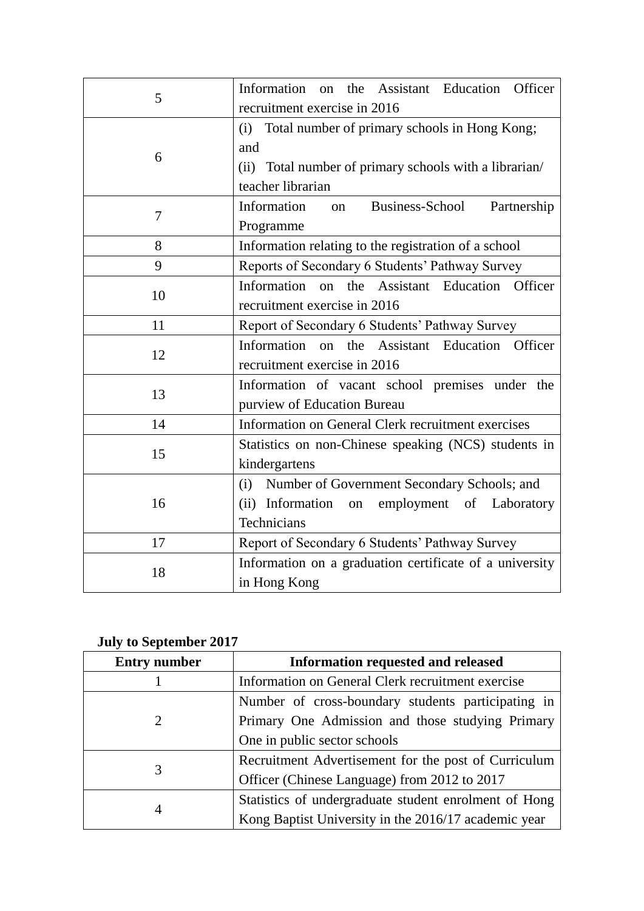| 5  | Information on the Assistant Education Officer                                                                           |
|----|--------------------------------------------------------------------------------------------------------------------------|
|    | recruitment exercise in 2016                                                                                             |
| 6  | Total number of primary schools in Hong Kong;<br>(i)<br>and<br>(ii)<br>Total number of primary schools with a librarian/ |
|    | teacher librarian                                                                                                        |
| 7  | Information<br><b>Business-School</b><br>Partnership<br>on<br>Programme                                                  |
| 8  | Information relating to the registration of a school                                                                     |
| 9  | Reports of Secondary 6 Students' Pathway Survey                                                                          |
| 10 | Information<br>the Assistant Education Officer<br>on<br>recruitment exercise in 2016                                     |
| 11 | Report of Secondary 6 Students' Pathway Survey                                                                           |
| 12 | on the Assistant Education Officer<br>Information<br>recruitment exercise in 2016                                        |
| 13 | Information of vacant school premises under the<br>purview of Education Bureau                                           |
| 14 | Information on General Clerk recruitment exercises                                                                       |
| 15 | Statistics on non-Chinese speaking (NCS) students in<br>kindergartens                                                    |
| 16 | Number of Government Secondary Schools; and<br>(i)<br>(ii) Information<br>employment of Laboratory<br>on<br>Technicians  |
| 17 | Report of Secondary 6 Students' Pathway Survey                                                                           |
| 18 | Information on a graduation certificate of a university<br>in Hong Kong                                                  |

# **July to September 2017**

| <b>Entry number</b> | <b>Information requested and released</b>             |
|---------------------|-------------------------------------------------------|
|                     | Information on General Clerk recruitment exercise     |
|                     | Number of cross-boundary students participating in    |
|                     | Primary One Admission and those studying Primary      |
|                     | One in public sector schools                          |
|                     | Recruitment Advertisement for the post of Curriculum  |
|                     | Officer (Chinese Language) from 2012 to 2017          |
|                     | Statistics of undergraduate student enrolment of Hong |
|                     | Kong Baptist University in the 2016/17 academic year  |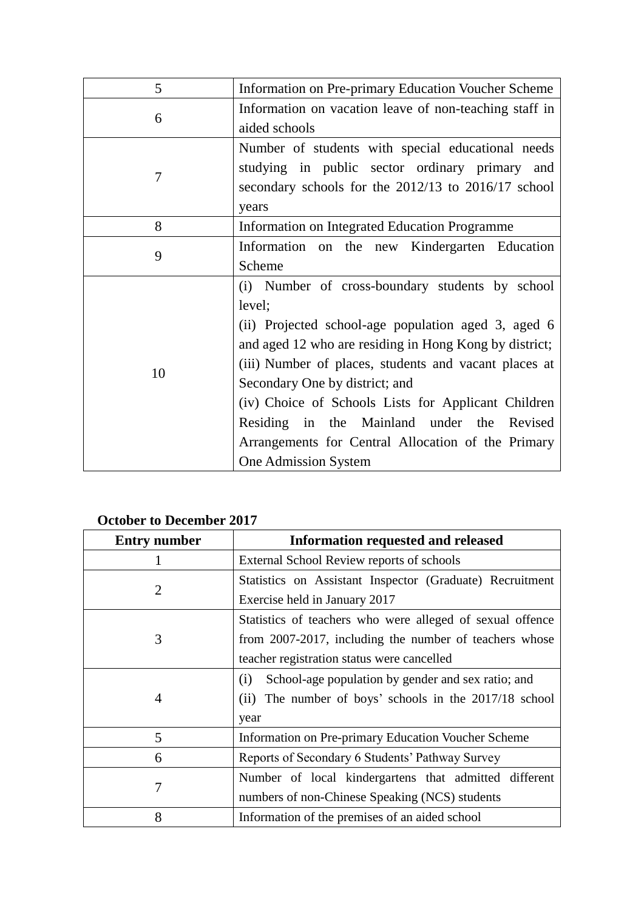| 5  | Information on Pre-primary Education Voucher Scheme    |
|----|--------------------------------------------------------|
| 6  | Information on vacation leave of non-teaching staff in |
|    | aided schools                                          |
|    | Number of students with special educational needs      |
|    | studying in public sector ordinary primary and         |
| 7  | secondary schools for the 2012/13 to 2016/17 school    |
|    | years                                                  |
| 8  | Information on Integrated Education Programme          |
| 9  | Information on the new Kindergarten Education          |
|    | Scheme                                                 |
| 10 | (i) Number of cross-boundary students by school        |
|    | level;                                                 |
|    | (ii) Projected school-age population aged 3, aged 6    |
|    | and aged 12 who are residing in Hong Kong by district; |
|    | (iii) Number of places, students and vacant places at  |
|    | Secondary One by district; and                         |
|    | (iv) Choice of Schools Lists for Applicant Children    |
|    | Residing in the Mainland under the Revised             |
|    | Arrangements for Central Allocation of the Primary     |
|    | One Admission System                                   |

## **October to December 2017**

| <b>Entry number</b> | <b>Information requested and released</b>                 |
|---------------------|-----------------------------------------------------------|
|                     | External School Review reports of schools                 |
| $\overline{2}$      | Statistics on Assistant Inspector (Graduate) Recruitment  |
|                     | Exercise held in January 2017                             |
| 3                   | Statistics of teachers who were alleged of sexual offence |
|                     | from 2007-2017, including the number of teachers whose    |
|                     | teacher registration status were cancelled                |
| $\overline{4}$      | School-age population by gender and sex ratio; and<br>(i) |
|                     | (ii) The number of boys' schools in the $2017/18$ school  |
|                     | year                                                      |
| 5                   | Information on Pre-primary Education Voucher Scheme       |
| 6                   | Reports of Secondary 6 Students' Pathway Survey           |
| 7                   | Number of local kindergartens that admitted different     |
|                     | numbers of non-Chinese Speaking (NCS) students            |
| 8                   | Information of the premises of an aided school            |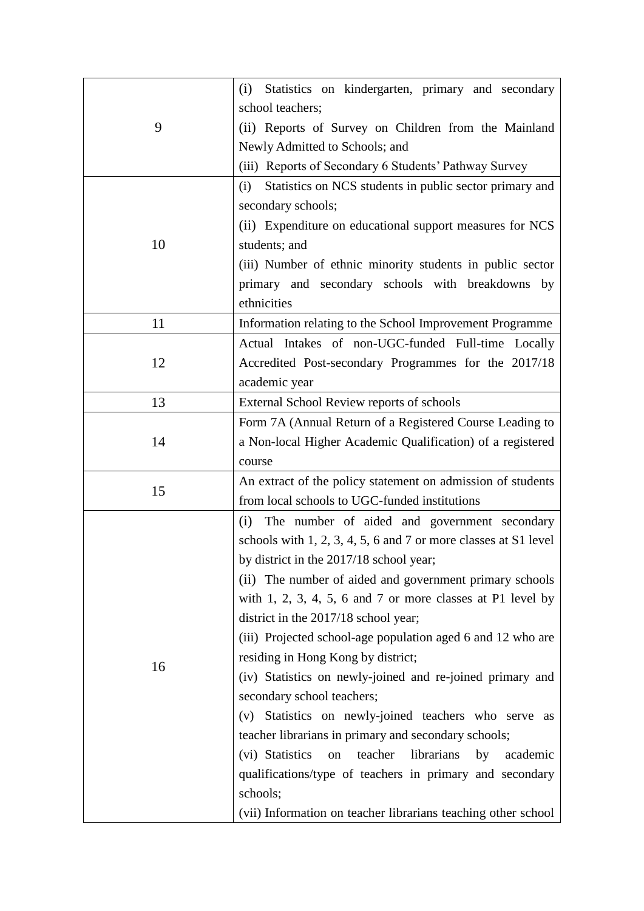| 9  | (i)<br>Statistics on kindergarten, primary and secondary              |
|----|-----------------------------------------------------------------------|
|    | school teachers;                                                      |
|    | (ii) Reports of Survey on Children from the Mainland                  |
|    | Newly Admitted to Schools; and                                        |
|    | (iii) Reports of Secondary 6 Students' Pathway Survey                 |
| 10 | Statistics on NCS students in public sector primary and<br>(i)        |
|    | secondary schools;                                                    |
|    | (ii) Expenditure on educational support measures for NCS              |
|    | students; and                                                         |
|    | (iii) Number of ethnic minority students in public sector             |
|    | primary and secondary schools with breakdowns by                      |
|    | ethnicities                                                           |
| 11 | Information relating to the School Improvement Programme              |
|    | Actual Intakes of non-UGC-funded Full-time Locally                    |
| 12 | Accredited Post-secondary Programmes for the 2017/18                  |
|    | academic year                                                         |
| 13 | External School Review reports of schools                             |
|    | Form 7A (Annual Return of a Registered Course Leading to              |
| 14 | a Non-local Higher Academic Qualification) of a registered            |
|    | course                                                                |
| 15 | An extract of the policy statement on admission of students           |
|    | from local schools to UGC-funded institutions                         |
|    | The number of aided and government secondary<br>(i)                   |
|    | schools with $1, 2, 3, 4, 5, 6$ and $7$ or more classes at $S1$ level |
|    | by district in the 2017/18 school year;                               |
|    | (ii) The number of aided and government primary schools               |
|    | with 1, 2, 3, 4, 5, 6 and 7 or more classes at P1 level by            |
|    | district in the 2017/18 school year;                                  |
|    | (iii) Projected school-age population aged 6 and 12 who are           |
| 16 | residing in Hong Kong by district;                                    |
|    | (iv) Statistics on newly-joined and re-joined primary and             |
|    | secondary school teachers;                                            |
|    | (v) Statistics on newly-joined teachers who serve as                  |
|    | teacher librarians in primary and secondary schools;                  |
|    | (vi) Statistics<br>teacher<br>librarians<br>on<br>by<br>academic      |
|    | qualifications/type of teachers in primary and secondary              |
|    | schools;                                                              |
|    | (vii) Information on teacher librarians teaching other school         |